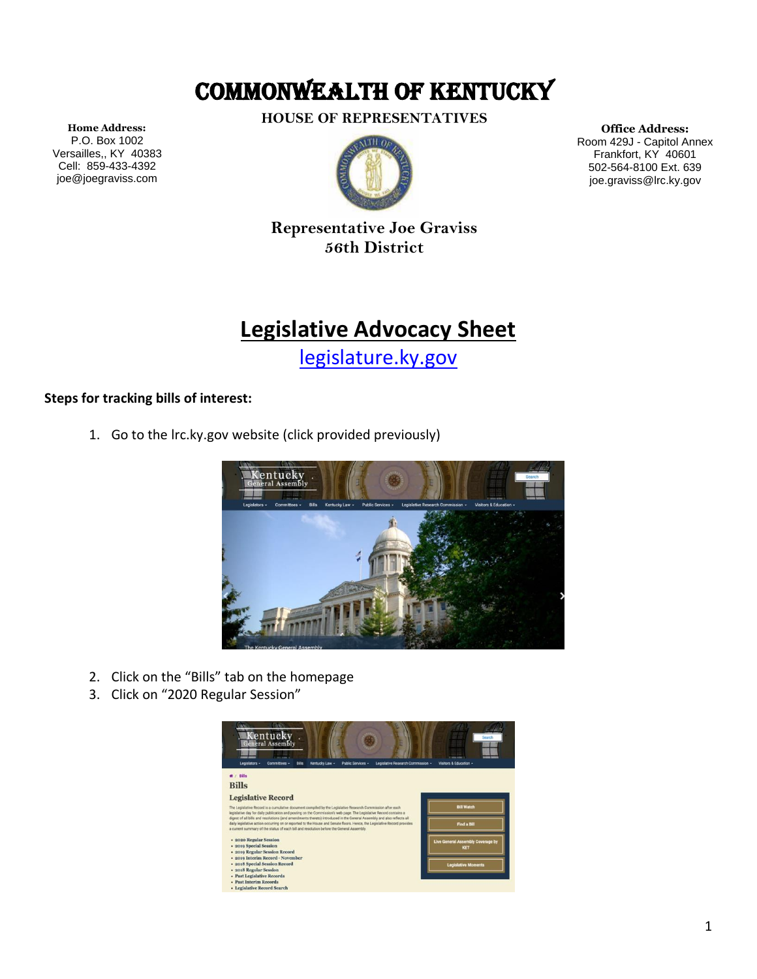## COMMONWEALTH OF KENTUCKY

**HOUSE OF REPRESENTATIVES**



**Office Address:** Room 429J - Capitol Annex Frankfort, KY 40601 502-564-8100 Ext. 639 joe.graviss@lrc.ky.gov

**Home Address:** P.O. Box 1002 Versailles,, KY 40383 Cell: 859-433-4392 joe@joegraviss.com

> **Representative Joe Graviss 56th District**

## **Legislative Advocacy Sheet**

[legislature.ky.gov](https://legislature.ky.gov/Pages/index.aspx)

## **Steps for tracking bills of interest:**

1. Go to the lrc.ky.gov website (click provided previously)



- 2. Click on the "Bills" tab on the homepage
- 3. Click on "2020 Regular Session"

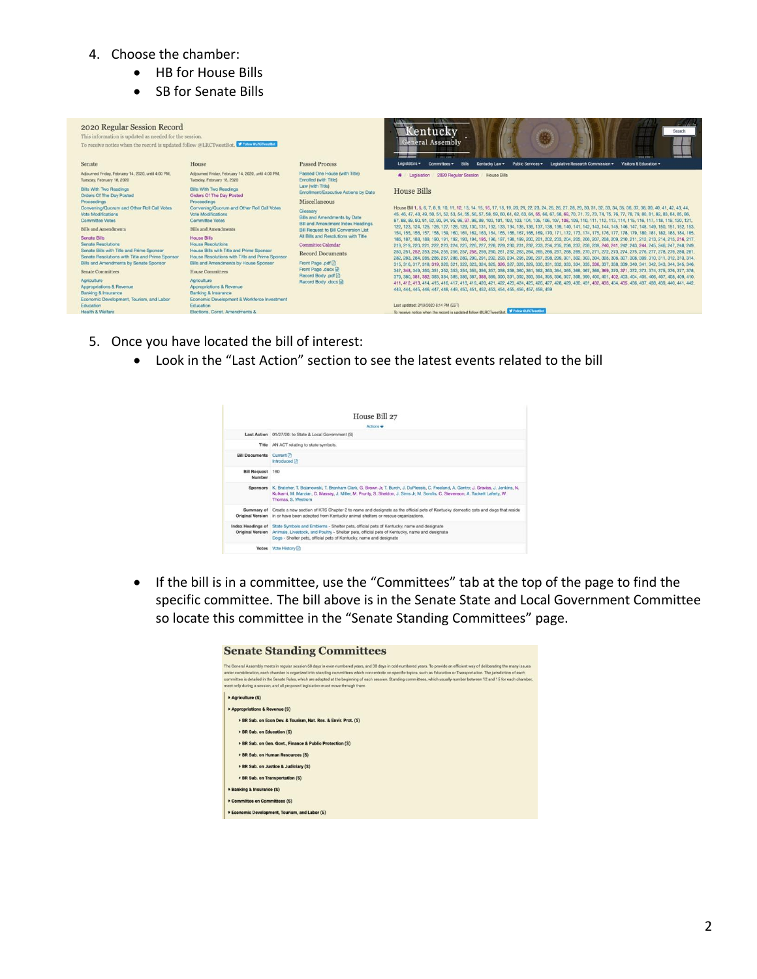- 4. Choose the chamber:
	- HB for House Bills
	- SB for Senate Bills

| 2020 Regular Session Record<br>This information is updated as needed for the session.<br>To receive notice when the record is updated follow @LRCTweetBot. V Feter ENGINEERS        |                                                                                                                                                                                       |                                                                                                          | lentucky<br>Search<br><b>General Assembly</b><br><b>COMME ARMIE</b><br><b>CONTRACTOR</b><br><b>TOTAL VIEW</b>                                                                                                                                                                                                                                                                                                                                                                                                                                                                                                                                                                                                                                                                                                                                        |
|-------------------------------------------------------------------------------------------------------------------------------------------------------------------------------------|---------------------------------------------------------------------------------------------------------------------------------------------------------------------------------------|----------------------------------------------------------------------------------------------------------|------------------------------------------------------------------------------------------------------------------------------------------------------------------------------------------------------------------------------------------------------------------------------------------------------------------------------------------------------------------------------------------------------------------------------------------------------------------------------------------------------------------------------------------------------------------------------------------------------------------------------------------------------------------------------------------------------------------------------------------------------------------------------------------------------------------------------------------------------|
| Senate                                                                                                                                                                              | House                                                                                                                                                                                 | <b>Passed Process</b>                                                                                    | Legislative Research Commission -<br>Public Services v<br>Visitors & Education -<br><b>Bills</b><br>Legislators $\star$<br>Kentucky Law -<br>Committees v                                                                                                                                                                                                                                                                                                                                                                                                                                                                                                                                                                                                                                                                                            |
| Adjourned Friday, February 14, 2020, until 4:00 PM,<br>Tuesday, February 18, 2020                                                                                                   | Adjourned Friday, February 14, 2020, until 4:00 PM,<br>Tuesday, February 18, 2020                                                                                                     | Passed One House (with Title)<br>Enrolled (with Title)                                                   | 2020 Regular Session House Bills<br><b>#</b> Legislation                                                                                                                                                                                                                                                                                                                                                                                                                                                                                                                                                                                                                                                                                                                                                                                             |
| <b>Bills With Two Readings</b><br>Orders Of The Day Posted<br>Proceedings                                                                                                           | <b>Bills With Two Readings</b><br>Orders Of The Day Posted<br>Proceedings                                                                                                             | Law (with Title)<br>Enrollment/Executive Actions by Date<br>Miscellaneous                                | <b>House Bills</b>                                                                                                                                                                                                                                                                                                                                                                                                                                                                                                                                                                                                                                                                                                                                                                                                                                   |
| Convening/Quorum and Other Roll Call Votes<br>Vote Modifications<br><b>Committee Votes</b>                                                                                          | Convening/Quorum and Other Roll Call Votes<br>Vote Modifications<br>Committee Votes                                                                                                   | Glossary<br>Bills and Amendments by Date<br><b>Bill and Amendment Index Headings</b>                     | House Bill 1, 5, 6, 7, 8, 9, 10, 11, 12, 13, 14, 15, 16, 17, 18, 19, 20, 21, 22, 23, 24, 25, 26, 27, 28, 29, 30, 31, 32, 33, 34, 35, 36, 37, 38, 39, 40, 41, 42, 43, 44,<br>45, 46, 47, 48, 49, 50, 51, 52, 53, 54, 55, 56, 57, 58, 59, 60, 61, 62, 63, 64, 65, 66, 67, 68, 69, 70, 71, 72, 73, 74, 75, 76, 77, 78, 79, 80, 81, 82, 83, 84, 85, 86,<br>87, 88, 89, 90, 91, 92, 93, 94, 95, 96, 97, 98, 99, 100, 101, 102, 103, 104, 105, 106, 107, 108, 109, 110, 111, 112, 113, 114, 115, 116, 117, 118, 119, 120, 121,                                                                                                                                                                                                                                                                                                                             |
| <b>Bills and Amendments</b>                                                                                                                                                         | <b>Bills and Amendments</b>                                                                                                                                                           | <b>Bill Request to Bill Conversion List</b>                                                              | 122, 123, 124, 125, 126, 127, 128, 129, 130, 131, 132, 133, 134, 135, 136, 137, 138, 139, 140, 141, 142, 143, 144, 145, 146, 147, 148, 149, 150, 151, 152, 153,<br>154, 155, 156, 157, 158, 159, 160, 161, 162, 163, 164, 165, 166, 167, 168, 169, 170, 171, 172, 173, 174, 175, 176, 177, 178, 179, 180, 181, 182, 183, 184, 185,                                                                                                                                                                                                                                                                                                                                                                                                                                                                                                                   |
| Senate Bills<br><b>Senate Resolutions</b><br>Senate Bills with Title and Prime Sponsor<br>Senate Resolutions with Title and Prime Sponsor<br>Bills and Amendments by Senate Sponsor | <b>House Rills</b><br><b>House Resolutions</b><br>House Bills with Title and Prime Sponsor<br>House Resolutions with Title and Prime Sponsor<br>Bills and Amendments by House Sponsor | All Bills and Resolutions with Title<br>Committee Calendar<br><b>Record Documents</b><br>Front Page .pdf | 186, 187, 188, 189, 190, 191, 192, 193, 194, 195, 196, 197, 198, 199, 200, 201, 202, 203, 204, 205, 206, 207, 208, 209, 210, 211, 212, 213, 214, 215, 216, 217,<br>218, 219, 220, 221, 222, 223, 224, 225, 226, 227, 228, 229, 230, 231, 232, 233, 234, 235, 236, 237, 238, 239, 240, 241, 242, 243, 244, 245, 246, 247, 248, 249, 249,<br>250, 251, 252, 253, 254, 255, 256, 257, 258, 259, 260, 261, 262, 263, 264, 265, 266, 267, 268, 269, 270, 271, 272, 273, 274, 275, 276, 277, 278, 279, 280, 281,<br>282, 283, 284, 285, 286, 287, 288, 289, 290, 291, 292, 293, 294, 295, 296, 297, 298, 299, 301, 302, 303, 304, 305, 306, 307, 308, 309, 310, 311, 312, 313, 314,<br>315, 316, 317, 318, 319, 320, 321, 322, 323, 324, 325, 326, 327, 328, 329, 330, 331, 332, 333, 334, 335, 336, 337, 338, 339, 340, 341, 342, 343, 344, 345, 346, 346 |
| Senate Committees                                                                                                                                                                   | House Committees                                                                                                                                                                      | Front Page .docx<br>Record Body .pdf                                                                     | 347, 348, 349, 350, 351, 352, 353, 354, 355, 356, 357, 358, 359, 360, 361, 362, 363, 364, 365, 366, 367, 368, 369, 370, 371, 372, 373, 374, 375, 376, 377, 378,<br>379, 380, 381, 382, 383, 384, 385, 386, 387, 388, 389, 390, 391, 392, 393, 394, 395, 396, 397, 398, 399, 400, 401, 402, 403, 404, 405, 406, 407, 408, 409, 410,                                                                                                                                                                                                                                                                                                                                                                                                                                                                                                                   |
| Agriculture<br>Appropriations & Revenue<br>Banking & Insurance<br>Economic Development, Tourism, and Labor                                                                          | Agriculture<br>Appropriations & Revenue<br>Banking & Insurance<br>Economic Development & Workforce Investment                                                                         | Record Body .docx                                                                                        | 411, 412, 413, 414, 415, 416, 417, 418, 419, 420, 421, 422, 423, 424, 425, 426, 427, 428, 429, 430, 431, 432, 433, 434, 435, 436, 437, 438, 439, 440, 441, 442,<br>443, 444, 445, 446, 447, 448, 449, 450, 451, 452, 453, 454, 455, 456, 457, 458, 459                                                                                                                                                                                                                                                                                                                                                                                                                                                                                                                                                                                               |
| Education                                                                                                                                                                           | Education                                                                                                                                                                             |                                                                                                          | Last updated: 2/19/2020 6:14 PM (EST)                                                                                                                                                                                                                                                                                                                                                                                                                                                                                                                                                                                                                                                                                                                                                                                                                |
| <b>Health &amp; Welfare</b>                                                                                                                                                         | Elections, Const. Amendments &                                                                                                                                                        |                                                                                                          | <b>V Follow OLFICTWeetBot</b><br>To receive notice when the record is updated follow @LRCTweetBot.                                                                                                                                                                                                                                                                                                                                                                                                                                                                                                                                                                                                                                                                                                                                                   |

- 5. Once you have located the bill of interest:
	- Look in the "Last Action" section to see the latest events related to the bill



• If the bill is in a committee, use the "Committees" tab at the top of the page to find the specific committee. The bill above is in the Senate State and Local Government Committee so locate this committee in the "Senate Standing Committees" page.

| <b>Senate Standing Committees</b>                                                                                                                                                                                                                                                                                                                                                                                                                                                                                                                                                                                               |
|---------------------------------------------------------------------------------------------------------------------------------------------------------------------------------------------------------------------------------------------------------------------------------------------------------------------------------------------------------------------------------------------------------------------------------------------------------------------------------------------------------------------------------------------------------------------------------------------------------------------------------|
| The General Assembly meets in regular session 60 days in even-numbered years, and 30 days in odd-numbered years. To provide an efficient way of deliberating the many issues<br>under consideration, each chamber is organized into standing committees which concentrate on specific topics, such as Education or Transportation. The jurisdiction of each<br>committee is detailed in the Senate Rules, which are adopted at the beginning of each session. Standing committees, which usually number between 12 and 15 for each chamber,<br>meet only during a session, and all proposed legislation must move through them. |
| Agriculture (S)                                                                                                                                                                                                                                                                                                                                                                                                                                                                                                                                                                                                                 |
| Appropriations & Revenue (S)                                                                                                                                                                                                                                                                                                                                                                                                                                                                                                                                                                                                    |
| > BR Sub, on Econ Dev. & Tourism, Nat. Res. & Envir. Prot. (S)                                                                                                                                                                                                                                                                                                                                                                                                                                                                                                                                                                  |
| BR Sub. on Education (S)                                                                                                                                                                                                                                                                                                                                                                                                                                                                                                                                                                                                        |
| > BR Sub, on Gen. Govt., Finance & Public Protection (S).                                                                                                                                                                                                                                                                                                                                                                                                                                                                                                                                                                       |
| > BR Sub. on Human Resources (S)                                                                                                                                                                                                                                                                                                                                                                                                                                                                                                                                                                                                |
| BR Sub. on Justice & Judiciary (S)                                                                                                                                                                                                                                                                                                                                                                                                                                                                                                                                                                                              |
| <b>BR</b> Sub, on Transportation (S)                                                                                                                                                                                                                                                                                                                                                                                                                                                                                                                                                                                            |
| <b>Eanking &amp; Insurance (S)</b>                                                                                                                                                                                                                                                                                                                                                                                                                                                                                                                                                                                              |
| Committee on Committees (S)                                                                                                                                                                                                                                                                                                                                                                                                                                                                                                                                                                                                     |
| Economic Development, Tourism, and Labor (S)                                                                                                                                                                                                                                                                                                                                                                                                                                                                                                                                                                                    |
|                                                                                                                                                                                                                                                                                                                                                                                                                                                                                                                                                                                                                                 |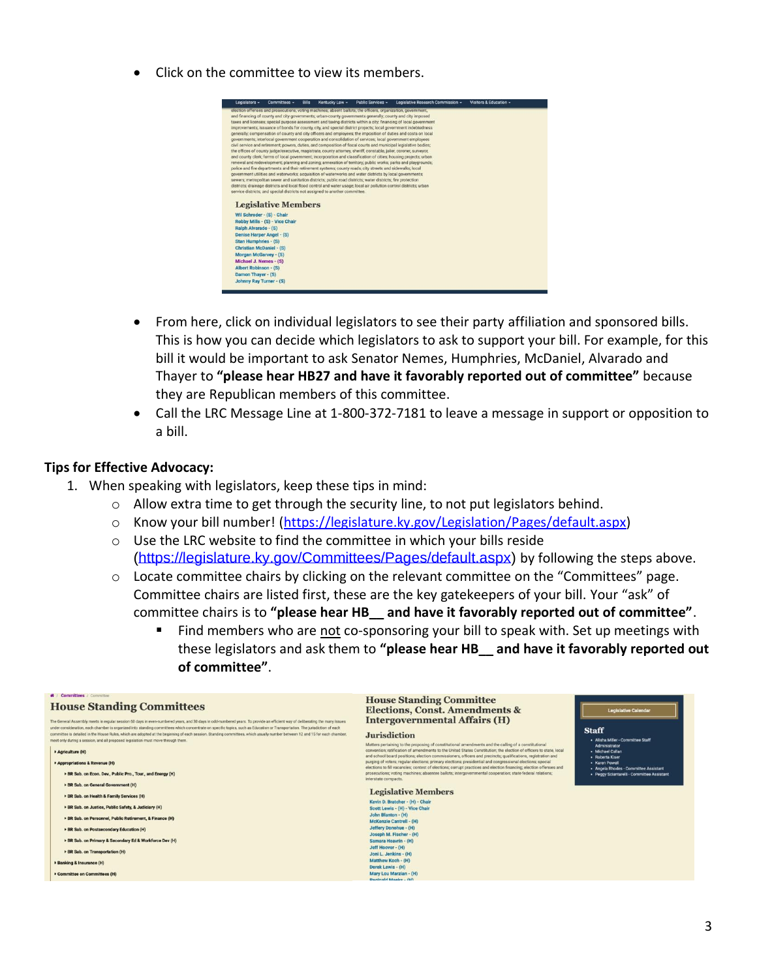• Click on the committee to view its members.



- From here, click on individual legislators to see their party affiliation and sponsored bills. This is how you can decide which legislators to ask to support your bill. For example, for this bill it would be important to ask Senator Nemes, Humphries, McDaniel, Alvarado and Thayer to **"please hear HB27 and have it favorably reported out of committee"** because they are Republican members of this committee.
- Call the LRC Message Line at 1-800-372-7181 to leave a message in support or opposition to a bill.

## **Tips for Effective Advocacy:**

- 1. When speaking with legislators, keep these tips in mind:
	- $\circ$  Allow extra time to get through the security line, to not put legislators behind.
	- o Know your bill number! [\(https://legislature.ky.gov/Legislation/Pages/default.aspx\)](https://legislature.ky.gov/Legislation/Pages/default.aspx)
	- o Use the LRC website to find the committee in which your bills reside [\(https://legislature.ky.gov/Committees/Pages/default.aspx\)](https://legislature.ky.gov/Committees/Pages/default.aspx) by following the steps above.
	- $\circ$  Locate committee chairs by clicking on the relevant committee on the "Committees" page. Committee chairs are listed first, these are the key gatekeepers of your bill. Your "ask" of committee chairs is to **"please hear HB\_\_ and have it favorably reported out of committee"**.
		- Find members who are not co-sponsoring your bill to speak with. Set up meetings with these legislators and ask them to **"please hear HB\_\_ and have it favorably reported out of committee"**.

| * / Committees / Committee<br><b>House Standing Committees</b><br>The General Assembly meets in regular session 60 days in even-numbered years, and 30 days in odd-numbered years. To provide an efficient way of deliberating the many issues<br>under consideration, each chamber is organized into standing committees which concentrate on specific topics, such as Education or Transportation. The jurisdiction of each<br>committee is detailed in the House Rules, which are adopted at the beginning of each session. Standing committees, which usually number between 12 and 15 for each chamber,<br>meet only during a session, and all proposed legislation must move through them.<br>Agriculture (H) | <b>House Standing Committee</b><br><b>Elections, Const. Amendments &amp;</b><br><b>Legislative Calendar</b><br><b>Intergovernmental Affairs (H)</b><br><b>Staff</b><br><b>Jurisdiction</b><br>· Alisha Miller - Committee Staff<br>Matters pertaining to the proposing of constitutional amendments and the calling of a constitutional<br><b>Administrator</b><br>convention; ratification of amendments to the United States Constitution; the election of officers to state, local<br>• Michael Callan<br>and school board positions; election commissioners, officers and precincts; qualifications, registration and<br>· Roberta Kiser<br>purging of voters; regular elections; primary elections; presidential and congressional elections; special<br>- Karen Powell<br>elections to fill vacancies; contest of elections; corrupt practices and election financing; election offenses and<br>· Angela Rhodes - Committee Assistant<br>prosecutions; voting machines; absentee ballots; intergovernmental cooperation; state-federal relations;<br>· Peggy Sciantarelli - Committee Assistant<br>interstate compacts.<br><b>Legislative Members</b><br>Kevin D. Bratcher - (H) - Chair<br>Scott Lewis - (H) - Vice Chair<br>John Blanton - (H)<br><b>McKenzie Cantrell - (H)</b><br>Jeffery Donohue - (H)<br>Joseph M. Fischer - (H)<br>Samara Heavrin - (H)<br>Jeff Hoover - (H)<br>Joni L. Jenkins - (H)<br>Matthew Koch - (H) |
|---------------------------------------------------------------------------------------------------------------------------------------------------------------------------------------------------------------------------------------------------------------------------------------------------------------------------------------------------------------------------------------------------------------------------------------------------------------------------------------------------------------------------------------------------------------------------------------------------------------------------------------------------------------------------------------------------------------------|------------------------------------------------------------------------------------------------------------------------------------------------------------------------------------------------------------------------------------------------------------------------------------------------------------------------------------------------------------------------------------------------------------------------------------------------------------------------------------------------------------------------------------------------------------------------------------------------------------------------------------------------------------------------------------------------------------------------------------------------------------------------------------------------------------------------------------------------------------------------------------------------------------------------------------------------------------------------------------------------------------------------------------------------------------------------------------------------------------------------------------------------------------------------------------------------------------------------------------------------------------------------------------------------------------------------------------------------------------------------------------------------------------------------------------------|
| Appropriations & Revenue (H)<br>> BR Sub. on Econ. Dev., Public Pro., Tour., and Energy (H)<br>BR Sub. on General Government (H)<br>> BR Sub. on Health & Family Services (H)<br>BR Sub. on Justice, Public Safety, & Judiciary (H)<br>BR Sub. on Personnel, Public Retirement, & Finance (H)<br>BR Sub. on Postsecondary Education (H)<br>> BR Sub, on Primary & Secondary Ed & Workforce Dev (H)<br><b>BR</b> Sub. on Transportation (H)<br>> Banking & Insurance (H)                                                                                                                                                                                                                                             |                                                                                                                                                                                                                                                                                                                                                                                                                                                                                                                                                                                                                                                                                                                                                                                                                                                                                                                                                                                                                                                                                                                                                                                                                                                                                                                                                                                                                                          |
| Committee on Committees (H)                                                                                                                                                                                                                                                                                                                                                                                                                                                                                                                                                                                                                                                                                         | Derek Lewis - (H)<br>Mary Lou Marzian - (H)<br><b>Reginald Meeks - (H)</b>                                                                                                                                                                                                                                                                                                                                                                                                                                                                                                                                                                                                                                                                                                                                                                                                                                                                                                                                                                                                                                                                                                                                                                                                                                                                                                                                                               |